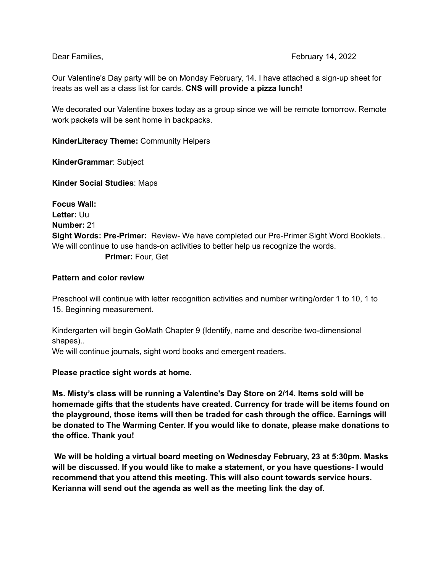Our Valentine's Day party will be on Monday February, 14. I have attached a sign-up sheet for treats as well as a class list for cards. **CNS will provide a pizza lunch!**

We decorated our Valentine boxes today as a group since we will be remote tomorrow. Remote work packets will be sent home in backpacks.

**KinderLiteracy Theme:** Community Helpers

**KinderGrammar**: Subject

**Kinder Social Studies**: Maps

**Focus Wall: Letter:** Uu **Number:** 21 **Sight Words: Pre-Primer:** Review- We have completed our Pre-Primer Sight Word Booklets.. We will continue to use hands-on activities to better help us recognize the words. **Primer:** Four, Get

## **Pattern and color review**

Preschool will continue with letter recognition activities and number writing/order 1 to 10, 1 to 15. Beginning measurement.

Kindergarten will begin GoMath Chapter 9 (Identify, name and describe two-dimensional shapes)..

We will continue journals, sight word books and emergent readers.

**Please practice sight words at home.**

**Ms. Misty's class will be running a Valentine's Day Store on 2/14. Items sold will be homemade gifts that the students have created. Currency for trade will be items found on the playground, those items will then be traded for cash through the office. Earnings will be donated to The Warming Center. If you would like to donate, please make donations to the office. Thank you!**

**We will be holding a virtual board meeting on Wednesday February, 23 at 5:30pm. Masks will be discussed. If you would like to make a statement, or you have questions- I would recommend that you attend this meeting. This will also count towards service hours. Kerianna will send out the agenda as well as the meeting link the day of.**